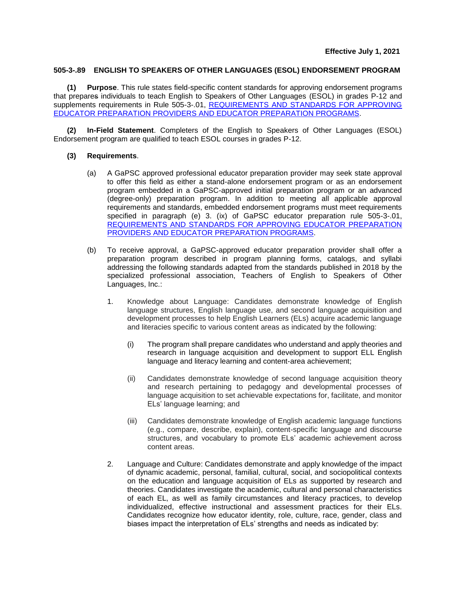## **505-3-.89 ENGLISH TO SPEAKERS OF OTHER LANGUAGES (ESOL) ENDORSEMENT PROGRAM**

**(1) Purpose**. This rule states field-specific content standards for approving endorsement programs that prepares individuals to teach English to Speakers of Other Languages (ESOL) in grades P-12 and supplements requirements in Rule 505-3-.01, [REQUIREMENTS AND STANDARDS FOR APPROVING](https://www.gapsc.com/Rules/Current/EducatorPreparation/505-3-.01.pdf?dt=%3C%25#Eval() [EDUCATOR PREPARATION PROVIDERS AND EDUCATOR PREPARATION PROGRAMS.](https://www.gapsc.com/Rules/Current/EducatorPreparation/505-3-.01.pdf?dt=%3C%25#Eval()

**(2) In-Field Statement**. Completers of the English to Speakers of Other Languages (ESOL) Endorsement program are qualified to teach ESOL courses in grades P-12.

## **(3) Requirements**.

- (a) A GaPSC approved professional educator preparation provider may seek state approval to offer this field as either a stand-alone endorsement program or as an endorsement program embedded in a GaPSC-approved initial preparation program or an advanced (degree-only) preparation program. In addition to meeting all applicable approval requirements and standards, embedded endorsement programs must meet requirements specified in paragraph (e) 3. (ix) of GaPSC educator preparation rule 505-3-.01, [REQUIREMENTS AND STANDARDS FOR APPROVING EDUCATOR PREPARATION](https://www.gapsc.com/Rules/Current/EducatorPreparation/505-3-.01.pdf?dt=%3C%25#Eval()  [PROVIDERS AND EDUCATOR PREPARATION PROGRAMS.](https://www.gapsc.com/Rules/Current/EducatorPreparation/505-3-.01.pdf?dt=%3C%25#Eval()
- (b) To receive approval, a GaPSC-approved educator preparation provider shall offer a preparation program described in program planning forms, catalogs, and syllabi addressing the following standards adapted from the standards published in 2018 by the specialized professional association, Teachers of English to Speakers of Other Languages, Inc.:
	- 1. Knowledge about Language: Candidates demonstrate knowledge of English language structures, English language use, and second language acquisition and development processes to help English Learners (ELs) acquire academic language and literacies specific to various content areas as indicated by the following:
		- (i) The program shall prepare candidates who understand and apply theories and research in language acquisition and development to support ELL English language and literacy learning and content-area achievement;
		- (ii) Candidates demonstrate knowledge of second language acquisition theory and research pertaining to pedagogy and developmental processes of language acquisition to set achievable expectations for, facilitate, and monitor ELs' language learning; and
		- (iii) Candidates demonstrate knowledge of English academic language functions (e.g., compare, describe, explain), content-specific language and discourse structures, and vocabulary to promote ELs' academic achievement across content areas.
	- 2. Language and Culture: Candidates demonstrate and apply knowledge of the impact of dynamic academic, personal, familial, cultural, social, and sociopolitical contexts on the education and language acquisition of ELs as supported by research and theories. Candidates investigate the academic, cultural and personal characteristics of each EL, as well as family circumstances and literacy practices, to develop individualized, effective instructional and assessment practices for their ELs. Candidates recognize how educator identity, role, culture, race, gender, class and biases impact the interpretation of ELs' strengths and needs as indicated by: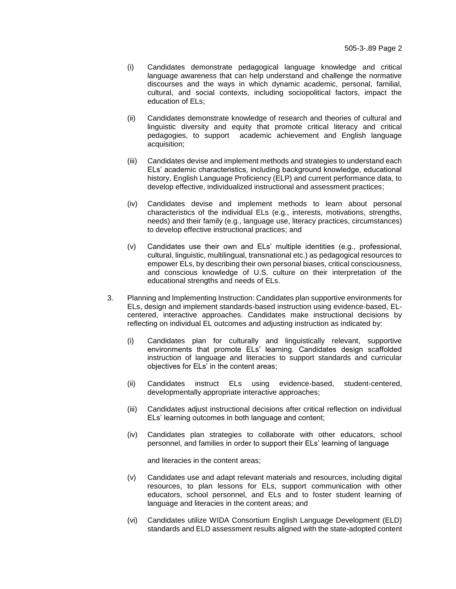- (i) Candidates demonstrate pedagogical language knowledge and critical language awareness that can help understand and challenge the normative discourses and the ways in which dynamic academic, personal, familial, cultural, and social contexts, including sociopolitical factors, impact the education of ELs;
- (ii) Candidates demonstrate knowledge of research and theories of cultural and linguistic diversity and equity that promote critical literacy and critical pedagogies, to support academic achievement and English language acquisition;
- (iii) Candidates devise and implement methods and strategies to understand each ELs' academic characteristics, including background knowledge, educational history, English Language Proficiency (ELP) and current performance data, to develop effective, individualized instructional and assessment practices;
- (iv) Candidates devise and implement methods to learn about personal characteristics of the individual ELs (e.g., interests, motivations, strengths, needs) and their family (e.g., language use, literacy practices, circumstances) to develop effective instructional practices; and
- (v) Candidates use their own and ELs' multiple identities (e.g., professional, cultural, linguistic, multilingual, transnational etc.) as pedagogical resources to empower ELs, by describing their own personal biases, critical consciousness, and conscious knowledge of U.S. culture on their interpretation of the educational strengths and needs of ELs.
- 3. Planning and Implementing Instruction: Candidates plan supportive environments for ELs, design and implement standards-based instruction using evidence-based, ELcentered, interactive approaches. Candidates make instructional decisions by reflecting on individual EL outcomes and adjusting instruction as indicated by:
	- (i) Candidates plan for culturally and linguistically relevant, supportive environments that promote ELs' learning. Candidates design scaffolded instruction of language and literacies to support standards and curricular objectives for ELs' in the content areas;
	- (ii) Candidates instruct ELs using evidence-based, student-centered, developmentally appropriate interactive approaches;
	- (iii) Candidates adjust instructional decisions after critical reflection on individual ELs' learning outcomes in both language and content;
	- (iv) Candidates plan strategies to collaborate with other educators, school personnel, and families in order to support their ELs' learning of language

and literacies in the content areas;

- (v) Candidates use and adapt relevant materials and resources, including digital resources, to plan lessons for ELs, support communication with other educators, school personnel, and ELs and to foster student learning of language and literacies in the content areas; and
- (vi) Candidates utilize WIDA Consortium English Language Development (ELD) standards and ELD assessment results aligned with the state-adopted content